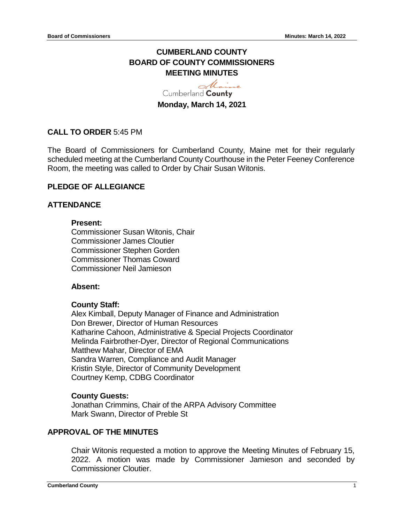# **CUMBERLAND COUNTY BOARD OF COUNTY COMMISSIONERS MEETING MINUTES**

Maine Cumberland County **Monday, March 14, 2021**

# **CALL TO ORDER** 5:45 PM

The Board of Commissioners for Cumberland County, Maine met for their regularly scheduled meeting at the Cumberland County Courthouse in the Peter Feeney Conference Room, the meeting was called to Order by Chair Susan Witonis.

# **PLEDGE OF ALLEGIANCE**

# **ATTENDANCE**

### **Present:**

Commissioner Susan Witonis, Chair Commissioner James Cloutier Commissioner Stephen Gorden Commissioner Thomas Coward Commissioner Neil Jamieson

### **Absent:**

### **County Staff:**

Alex Kimball, Deputy Manager of Finance and Administration Don Brewer, Director of Human Resources Katharine Cahoon, Administrative & Special Projects Coordinator Melinda Fairbrother-Dyer, Director of Regional Communications Matthew Mahar, Director of EMA Sandra Warren, Compliance and Audit Manager Kristin Style, Director of Community Development Courtney Kemp, CDBG Coordinator

# **County Guests:**

Jonathan Crimmins, Chair of the ARPA Advisory Committee Mark Swann, Director of Preble St

# **APPROVAL OF THE MINUTES**

Chair Witonis requested a motion to approve the Meeting Minutes of February 15, 2022. A motion was made by Commissioner Jamieson and seconded by Commissioner Cloutier.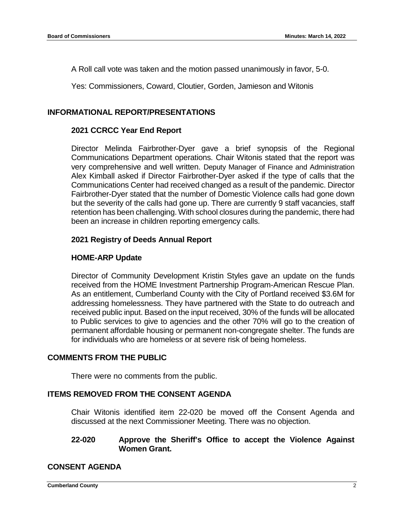A Roll call vote was taken and the motion passed unanimously in favor, 5-0.

Yes: Commissioners, Coward, Cloutier, Gorden, Jamieson and Witonis

### **INFORMATIONAL REPORT/PRESENTATIONS**

### **2021 CCRCC Year End Report**

Director Melinda Fairbrother-Dyer gave a brief synopsis of the Regional Communications Department operations. Chair Witonis stated that the report was very comprehensive and well written. Deputy Manager of Finance and Administration Alex Kimball asked if Director Fairbrother-Dyer asked if the type of calls that the Communications Center had received changed as a result of the pandemic. Director Fairbrother-Dyer stated that the number of Domestic Violence calls had gone down but the severity of the calls had gone up. There are currently 9 staff vacancies, staff retention has been challenging. With school closures during the pandemic, there had been an increase in children reporting emergency calls.

### **2021 Registry of Deeds Annual Report**

### **HOME-ARP Update**

Director of Community Development Kristin Styles gave an update on the funds received from the HOME Investment Partnership Program-American Rescue Plan. As an entitlement, Cumberland County with the City of Portland received \$3.6M for addressing homelessness. They have partnered with the State to do outreach and received public input. Based on the input received, 30% of the funds will be allocated to Public services to give to agencies and the other 70% will go to the creation of permanent affordable housing or permanent non-congregate shelter. The funds are for individuals who are homeless or at severe risk of being homeless.

### **COMMENTS FROM THE PUBLIC**

There were no comments from the public.

# **ITEMS REMOVED FROM THE CONSENT AGENDA**

Chair Witonis identified item 22-020 be moved off the Consent Agenda and discussed at the next Commissioner Meeting. There was no objection.

### **22-020 Approve the Sheriff's Office to accept the Violence Against Women Grant.**

### **CONSENT AGENDA**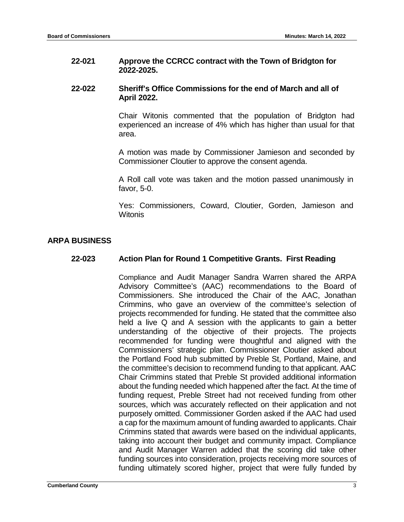### **22-021 Approve the CCRCC contract with the Town of Bridgton for 2022-2025.**

### **22-022 Sheriff's Office Commissions for the end of March and all of April 2022.**

Chair Witonis commented that the population of Bridgton had experienced an increase of 4% which has higher than usual for that area.

A motion was made by Commissioner Jamieson and seconded by Commissioner Cloutier to approve the consent agenda.

A Roll call vote was taken and the motion passed unanimously in favor, 5-0.

Yes: Commissioners, Coward, Cloutier, Gorden, Jamieson and **Witonis** 

# **ARPA BUSINESS**

### **22-023 Action Plan for Round 1 Competitive Grants. First Reading**

Compliance and Audit Manager Sandra Warren shared the ARPA Advisory Committee's (AAC) recommendations to the Board of Commissioners. She introduced the Chair of the AAC, Jonathan Crimmins, who gave an overview of the committee's selection of projects recommended for funding. He stated that the committee also held a live Q and A session with the applicants to gain a better understanding of the objective of their projects. The projects recommended for funding were thoughtful and aligned with the Commissioners' strategic plan. Commissioner Cloutier asked about the Portland Food hub submitted by Preble St, Portland, Maine, and the committee's decision to recommend funding to that applicant. AAC Chair Crimmins stated that Preble St provided additional information about the funding needed which happened after the fact. At the time of funding request, Preble Street had not received funding from other sources, which was accurately reflected on their application and not purposely omitted. Commissioner Gorden asked if the AAC had used a cap for the maximum amount of funding awarded to applicants. Chair Crimmins stated that awards were based on the individual applicants, taking into account their budget and community impact. Compliance and Audit Manager Warren added that the scoring did take other funding sources into consideration, projects receiving more sources of funding ultimately scored higher, project that were fully funded by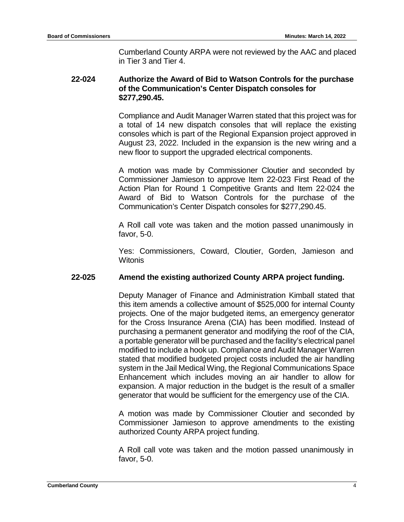Cumberland County ARPA were not reviewed by the AAC and placed in Tier 3 and Tier 4.

# **22-024 Authorize the Award of Bid to Watson Controls for the purchase of the Communication's Center Dispatch consoles for \$277,290.45.**

Compliance and Audit Manager Warren stated that this project was for a total of 14 new dispatch consoles that will replace the existing consoles which is part of the Regional Expansion project approved in August 23, 2022. Included in the expansion is the new wiring and a new floor to support the upgraded electrical components.

A motion was made by Commissioner Cloutier and seconded by Commissioner Jamieson to approve Item 22-023 First Read of the Action Plan for Round 1 Competitive Grants and Item 22-024 the Award of Bid to Watson Controls for the purchase of the Communication's Center Dispatch consoles for \$277,290.45.

A Roll call vote was taken and the motion passed unanimously in favor, 5-0.

Yes: Commissioners, Coward, Cloutier, Gorden, Jamieson and **Witonis** 

# **22-025 Amend the existing authorized County ARPA project funding.**

Deputy Manager of Finance and Administration Kimball stated that this item amends a collective amount of \$525,000 for internal County projects. One of the major budgeted items, an emergency generator for the Cross Insurance Arena (CIA) has been modified. Instead of purchasing a permanent generator and modifying the roof of the CIA, a portable generator will be purchased and the facility's electrical panel modified to include a hook up. Compliance and Audit Manager Warren stated that modified budgeted project costs included the air handling system in the Jail Medical Wing, the Regional Communications Space Enhancement which includes moving an air handler to allow for expansion. A major reduction in the budget is the result of a smaller generator that would be sufficient for the emergency use of the CIA.

A motion was made by Commissioner Cloutier and seconded by Commissioner Jamieson to approve amendments to the existing authorized County ARPA project funding.

A Roll call vote was taken and the motion passed unanimously in favor, 5-0.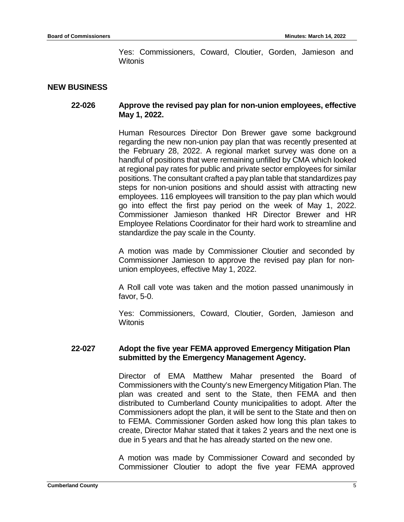Yes: Commissioners, Coward, Cloutier, Gorden, Jamieson and Witonis

### **NEW BUSINESS**

### **22-026 Approve the revised pay plan for non-union employees, effective May 1, 2022.**

Human Resources Director Don Brewer gave some background regarding the new non-union pay plan that was recently presented at the February 28, 2022. A regional market survey was done on a handful of positions that were remaining unfilled by CMA which looked at regional pay rates for public and private sector employees for similar positions. The consultant crafted a pay plan table that standardizes pay steps for non-union positions and should assist with attracting new employees. 116 employees will transition to the pay plan which would go into effect the first pay period on the week of May 1, 2022. Commissioner Jamieson thanked HR Director Brewer and HR Employee Relations Coordinator for their hard work to streamline and standardize the pay scale in the County.

A motion was made by Commissioner Cloutier and seconded by Commissioner Jamieson to approve the revised pay plan for nonunion employees, effective May 1, 2022.

A Roll call vote was taken and the motion passed unanimously in favor, 5-0.

Yes: Commissioners, Coward, Cloutier, Gorden, Jamieson and **Witonis** 

### **22-027 Adopt the five year FEMA approved Emergency Mitigation Plan submitted by the Emergency Management Agency.**

Director of EMA Matthew Mahar presented the Board of Commissioners with the County's new Emergency Mitigation Plan. The plan was created and sent to the State, then FEMA and then distributed to Cumberland County municipalities to adopt. After the Commissioners adopt the plan, it will be sent to the State and then on to FEMA. Commissioner Gorden asked how long this plan takes to create, Director Mahar stated that it takes 2 years and the next one is due in 5 years and that he has already started on the new one.

A motion was made by Commissioner Coward and seconded by Commissioner Cloutier to adopt the five year FEMA approved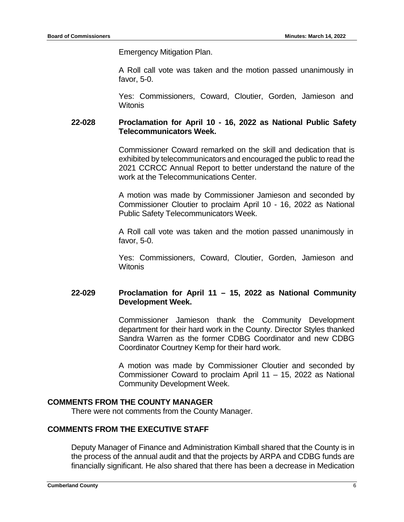Emergency Mitigation Plan.

A Roll call vote was taken and the motion passed unanimously in favor, 5-0.

Yes: Commissioners, Coward, Cloutier, Gorden, Jamieson and **Witonis** 

# **22-028 Proclamation for April 10 - 16, 2022 as National Public Safety Telecommunicators Week.**

Commissioner Coward remarked on the skill and dedication that is exhibited by telecommunicators and encouraged the public to read the 2021 CCRCC Annual Report to better understand the nature of the work at the Telecommunications Center.

A motion was made by Commissioner Jamieson and seconded by Commissioner Cloutier to proclaim April 10 - 16, 2022 as National Public Safety Telecommunicators Week.

A Roll call vote was taken and the motion passed unanimously in favor, 5-0.

Yes: Commissioners, Coward, Cloutier, Gorden, Jamieson and Witonis

# **22-029 Proclamation for April 11 – 15, 2022 as National Community Development Week.**

Commissioner Jamieson thank the Community Development department for their hard work in the County. Director Styles thanked Sandra Warren as the former CDBG Coordinator and new CDBG Coordinator Courtney Kemp for their hard work.

A motion was made by Commissioner Cloutier and seconded by Commissioner Coward to proclaim April 11 – 15, 2022 as National Community Development Week.

# **COMMENTS FROM THE COUNTY MANAGER**

There were not comments from the County Manager.

### **COMMENTS FROM THE EXECUTIVE STAFF**

Deputy Manager of Finance and Administration Kimball shared that the County is in the process of the annual audit and that the projects by ARPA and CDBG funds are financially significant. He also shared that there has been a decrease in Medication